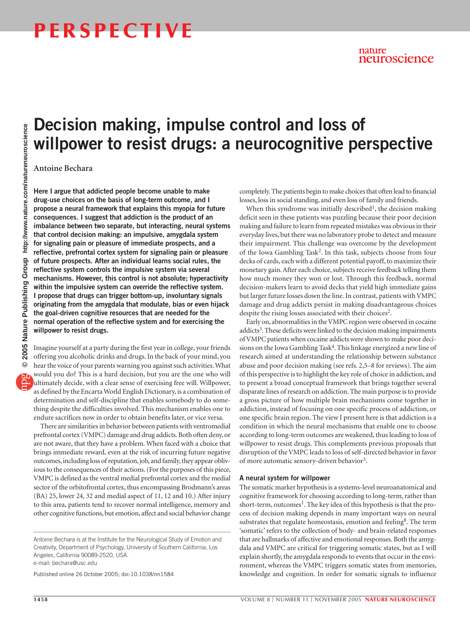# **PERSPECTIVE**

# **Decision making, impulse control and loss of willpower to resist drugs: a neurocognitive perspective**

**Antoine Bechara**

**Here I argue that addicted people become unable to make drug-use choices on the basis of long-term outcome, and I propose a neural framework that explains this myopia for future consequences. I suggest that addiction is the product of an imbalance between two separate, but interacting, neural systems that control decision making: an impulsive, amygdala system for signaling pain or pleasure of immediate prospects, and a reflective, prefrontal cortex system for signaling pain or pleasure of future prospects. After an individual learns social rules, the reflective system controls the impulsive system via several mechanisms. However, this control is not absolute; hyperactivity within the impulsive system can override the reflective system. I propose that drugs can trigger bottom-up, involuntary signals originating from the amygdala that modulate, bias or even hijack the goal-driven cognitive resources that are needed for the normal operation of the reflective system and for exercising the willpower to resist drugs.**

Imagine yourself at a party during the first year in college, your friends offering you alcoholic drinks and drugs. In the back of your mind, you hear the voice of your parents warning you against such activities. What would you do? This is a hard decision, but you are the one who will ultimately decide, with a clear sense of exercising free will. Willpower, as defined by the Encarta World English Dictionary, is a combination of determination and self-discipline that enables somebody to do something despite the difficulties involved. This mechanism enables one to endure sacrifices now in order to obtain benefits later, or vice versa.

There are similarities in behavior between patients with ventromedial prefrontal cortex (VMPC) damage and drug addicts. Both often deny, or are not aware, that they have a problem. When faced with a choice that brings immediate reward, even at the risk of incurring future negative outcomes, including loss of reputation, job, and family, they appear oblivious to the consequences of their actions. (For the purposes of this piece, VMPC is defined as the ventral medial prefrontal cortex and the medial sector of the orbitofrontal cortex, thus encompassing Brodmann's areas (BA) 25, lower 24, 32 and medial aspect of 11, 12 and 10.) After injury to this area, patients tend to recover normal intelligence, memory and other cognitive functions, but emotion, affect and social behavior change

Published online 26 October 2005; doi:10.1038/nn1584

completely. The patients begin to make choices that often lead to financial losses, loss in social standing, and even loss of family and friends.

When this syndrome was initially described<sup>1</sup>, the decision making deficit seen in these patients was puzzling because their poor decision making and failure to learn from repeated mistakes was obvious in their everyday lives, but there was no laboratory probe to detect and measure their impairment. This challenge was overcome by the development of the Iowa Gambling Task<sup>2</sup>. In this task, subjects choose from four decks of cards, each with a different potential payoff, to maximize their monetary gain. After each choice, subjects receive feedback telling them how much money they won or lost. Through this feedback, normal decision-makers learn to avoid decks that yield high immediate gains but larger future losses down the line. In contrast, patients with VMPC damage and drug addicts persist in making disadvantageous choices despite the rising losses associated with their choices<sup>2</sup>.

Early on, abnormalities in the VMPC region were observed in cocaine addicts<sup>3</sup>. These deficits were linked to the decision making impairments of VMPC patients when cocaine addicts were shown to make poor decisions on the Iowa Gambling Task<sup>4</sup>. This linkage energized a new line of research aimed at understanding the relationship between substance abuse and poor decision making (see refs. 2,5–8 for reviews). The aim of this perspective is to highlight the key role of choice in addiction, and to present a broad conceptual framework that brings together several disparate lines of research on addiction. The main purpose is to provide a gross picture of how multiple brain mechanisms come together in addiction, instead of focusing on one specific process of addiction, or one specific brain region. The view I present here is that addiction is a condition in which the neural mechanisms that enable one to choose according to long-term outcomes are weakened, thus leading to loss of willpower to resist drugs. This complements previous proposals that disruption of the VMPC leads to loss of self-directed behavior in favor of more automatic sensory-driven behavior3.

#### **A neural system for willpower**

The somatic marker hypothesis is a systems-level neuroanatomical and cognitive framework for choosing according to long-term, rather than short-term, outcomes<sup>1</sup>. The key idea of this hypothesis is that the process of decision making depends in many important ways on neural substrates that regulate homeostasis, emotion and feeling<sup>8</sup>. The term 'somatic' refers to the collection of body- and brain-related responses that are hallmarks of affective and emotional responses. Both the amygdala and VMPC are critical for triggering somatic states, but as I will explain shortly, the amygdala responds to events that occur in the environment, whereas the VMPC triggers somatic states from memories, knowledge and cognition. In order for somatic signals to influence

Antoine Bechara is at the Institute for the Neurological Study of Emotion and Creativity, Department of Psychology, University of Southern California, Los Angeles, California 90089-2520, USA. e-mail: bechara@usc.edu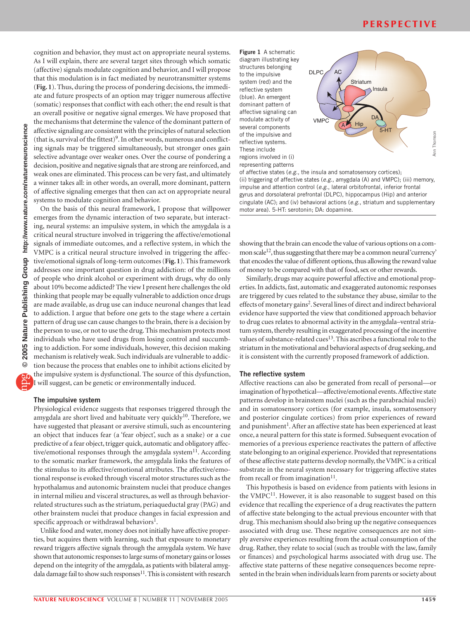http://www.nature.com/natureneuroscience **© 2005 Nature Publishing Group http://www.nature.com/natureneuroscience**Group Publishing 2005 Nature  $\odot$ 

cognition and behavior, they must act on appropriate neural systems. As I will explain, there are several target sites through which somatic (affective) signals modulate cognition and behavior, and I will propose that this modulation is in fact mediated by neurotransmitter systems (**Fig. 1**). Thus, during the process of pondering decisions, the immediate and future prospects of an option may trigger numerous affective (somatic) responses that conflict with each other; the end result is that an overall positive or negative signal emerges. We have proposed that the mechanisms that determine the valence of the dominant pattern of affective signaling are consistent with the principles of natural selection (that is, survival of the fittest)<sup>9</sup>. In other words, numerous and conflicting signals may be triggered simultaneously, but stronger ones gain selective advantage over weaker ones. Over the course of pondering a decision, positive and negative signals that are strong are reinforced, and weak ones are eliminated. This process can be very fast, and ultimately a winner takes all: in other words, an overall, more dominant, pattern of affective signaling emerges that then can act on appropriate neural systems to modulate cognition and behavior.

On the basis of this neural framework, I propose that willpower emerges from the dynamic interaction of two separate, but interacting, neural systems: an impulsive system, in which the amygdala is a critical neural structure involved in triggering the affective/emotional signals of immediate outcomes, and a reflective system, in which the VMPC is a critical neural structure involved in triggering the affective/emotional signals of long-term outcomes (**Fig. 1**). This framework addresses one important question in drug addiction: of the millions of people who drink alcohol or experiment with drugs, why do only about 10% become addicted? The view I present here challenges the old thinking that people may be equally vulnerable to addiction once drugs are made available, as drug use can induce neuronal changes that lead to addiction. I argue that before one gets to the stage where a certain pattern of drug use can cause changes to the brain, there is a decision by the person to use, or not to use the drug. This mechanism protects most individuals who have used drugs from losing control and succumbing to addiction. For some individuals, however, this decision making mechanism is relatively weak. Such individuals are vulnerable to addiction because the process that enables one to inhibit actions elicited by the impulsive system is dysfunctional. The source of this dysfunction, I will suggest, can be genetic or environmentally induced.

#### **The impulsive system**

Physiological evidence suggests that responses triggered through the amygdala are short lived and habituate very quickly<sup>10</sup>. Therefore, we have suggested that pleasant or aversive stimuli, such as encountering an object that induces fear (a 'fear object', such as a snake) or a cue predictive of a fear object, trigger quick, automatic and obligatory affective/emotional responses through the amygdala system $11$ . According to the somatic marker framework, the amygdala links the features of the stimulus to its affective/emotional attributes. The affective/emotional response is evoked through visceral motor structures such as the hypothalamus and autonomic brainstem nuclei that produce changes in internal milieu and visceral structures, as well as through behaviorrelated structures such as the striatum, periaqueductal gray (PAG) and other brainstem nuclei that produce changes in facial expression and specific approach or withdrawal behaviors<sup>1</sup>.

Unlike food and water, money does not initially have affective properties, but acquires them with learning, such that exposure to monetary reward triggers affective signals through the amygdala system. We have shown that autonomic responses to large sums of monetary gains or losses depend on the integrity of the amygdala, as patients with bilateral amygdala damage fail to show such responses $^{11}$ . This is consistent with research

**Figure 1** A schematic diagram illustrating key structures belonging to the impulsive system (red) and the reflective system (blue). An emergent dominant pattern of affective signaling can modulate activity of several components of the impulsive and reflective systems. These include regions involved in (i) representing patterns



of affective states (*e.g.*, the insula and somatosensory cortices); (ii) triggering of affective states (*e.g.*, amygdala (A) and VMPC); (iii) memory, impulse and attention control (*e.g.*, lateral orbitofrontal, inferior frontal gyrus and dorsolateral prefrontal (DLPC), hippocampus (Hip) and anterior cingulate (AC); and (iv) behavioral actions (*e.g.*, striatum and supplementary motor area). 5-HT: serotonin; DA: dopamine.

showing that the brain can encode the value of various options on a common scale<sup>12</sup>, thus suggesting that there may be a common neural 'currency' that encodes the value of different options, thus allowing the reward value of money to be compared with that of food, sex or other rewards.

Similarly, drugs may acquire powerful affective and emotional properties. In addicts, fast, automatic and exaggerated autonomic responses are triggered by cues related to the substance they abuse, similar to the effects of monetary gains<sup>2</sup>. Several lines of direct and indirect behavioral evidence have supported the view that conditioned approach behavior to drug cues relates to abnormal activity in the amygdala–ventral striatum system, thereby resulting in exaggerated processing of the incentive values of substance-related cues<sup>13</sup>. This ascribes a functional role to the striatum in the motivational and behavioral aspects of drug seeking, and it is consistent with the currently proposed framework of addiction.

### **The reflective system**

Affective reactions can also be generated from recall of personal—or imagination of hypothetical—affective/emotional events. Affective state patterns develop in brainstem nuclei (such as the parabrachial nuclei) and in somatosensory cortices (for example, insula, somatosensory and posterior cingulate cortices) from prior experiences of reward and punishment<sup>1</sup>. After an affective state has been experienced at least once, a neural pattern for this state is formed. Subsequent evocation of memories of a previous experience reactivates the pattern of affective state belonging to an original experience. Provided that representations of these affective state patterns develop normally, the VMPC is a critical substrate in the neural system necessary for triggering affective states from recall or from imagination $11$ .

This hypothesis is based on evidence from patients with lesions in the VMPC<sup>11</sup>. However, it is also reasonable to suggest based on this evidence that recalling the experience of a drug reactivates the pattern of affective state belonging to the actual previous encounter with that drug. This mechanism should also bring up the negative consequences associated with drug use. These negative consequences are not simply aversive experiences resulting from the actual consumption of the drug. Rather, they relate to social (such as trouble with the law, family or finances) and psychological harms associated with drug use. The affective state patterns of these negative consequences become represented in the brain when individuals learn from parents or society about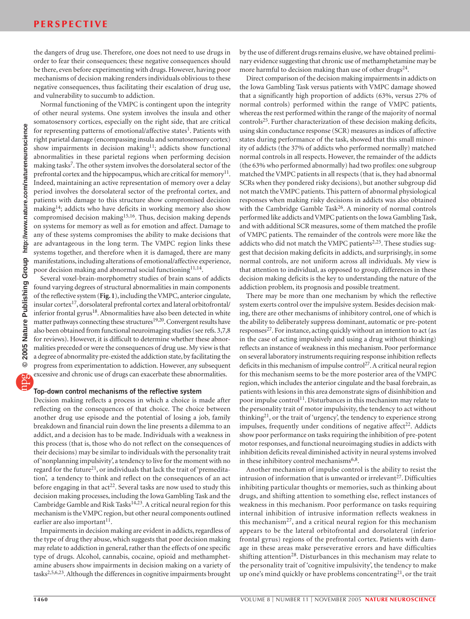the dangers of drug use. Therefore, one does not need to use drugs in order to fear their consequences; these negative consequences should be there, even before experimenting with drugs. However, having poor mechanisms of decision making renders individuals oblivious to these negative consequences, thus facilitating their escalation of drug use, and vulnerability to succumb to addiction.

Normal functioning of the VMPC is contingent upon the integrity of other neural systems. One system involves the insula and other somatosensory cortices, especially on the right side, that are critical for representing patterns of emotional/affective states<sup>1</sup>. Patients with right parietal damage (encompassing insula and somatosensory cortex) show impairments in decision making<sup>11</sup>; addicts show functional abnormalities in these parietal regions when performing decision making tasks<sup>7</sup>. The other system involves the dorsolateral sector of the prefrontal cortex and the hippocampus, which are critical for memory<sup>11</sup>. Indeed, maintaining an active representation of memory over a delay period involves the dorsolateral sector of the prefrontal cortex, and patients with damage to this structure show compromised decision making14; addicts who have deficits in working memory also show compromised decision making<sup>15,16</sup>. Thus, decision making depends on systems for memory as well as for emotion and affect. Damage to any of these systems compromises the ability to make decisions that are advantageous in the long term. The VMPC region links these systems together, and therefore when it is damaged, there are many manifestations, including alterations of emotional/affective experience, poor decision making and abnormal social functioning<sup>11,14</sup>.

Several voxel-brain-morphometry studies of brain scans of addicts found varying degrees of structural abnormalities in main components of the reflective system (**Fig. 1**), including the VMPC, anterior cingulate, insular cortex<sup>17</sup>, dorsolateral prefrontal cortex and lateral orbitofrontal/ inferior frontal gyrus<sup>18</sup>. Abnormalities have also been detected in white matter pathways connecting these structures  $^{19,20}\!.$  Convergent results have also been obtained from functional neuroimaging studies (see refs. 3,7,8 for reviews). However, it is difficult to determine whether these abnormalities preceded or were the consequences of drug use. My view is that a degree of abnormality pre-existed the addiction state, by facilitating the progress from experimentation to addiction. However, any subsequent excessive and chronic use of drugs can exacerbate these abnormalities.

#### **Top-down control mechanisms of the reflective system**

Decision making reflects a process in which a choice is made after reflecting on the consequences of that choice. The choice between another drug use episode and the potential of losing a job, family breakdown and financial ruin down the line presents a dilemma to an addict, and a decision has to be made. Individuals with a weakness in this process (that is, those who do not reflect on the consequences of their decisions) may be similar to individuals with the personality trait of 'nonplanning impulsivity', a tendency to live for the moment with no regard for the future<sup>21</sup>, or individuals that lack the trait of 'premeditation', a tendency to think and reflect on the consequences of an act before engaging in that  $act^{22}$ . Several tasks are now used to study this decision making processes, including the Iowa Gambling Task and the Cambridge Gamble and Risk Tasks<sup>14,23</sup>. A critical neural region for this mechanism is the VMPC region, but other neural components outlined earlier are also important<sup>11</sup>.

Impairments in decision making are evident in addicts, regardless of the type of drug they abuse, which suggests that poor decision making may relate to addiction in general, rather than the effects of one specific type of drugs. Alcohol, cannabis, cocaine, opioid and methamphetamine abusers show impairments in decision making on a variety of tasks2,5,6,23. Although the differences in cognitive impairments brought

by the use of different drugs remains elusive, we have obtained preliminary evidence suggesting that chronic use of methamphetamine may be more harmful to decision making than use of other drugs<sup>24</sup>.

Direct comparison of the decision making impairments in addicts on the Iowa Gambling Task versus patients with VMPC damage showed that a significantly high proportion of addicts (63%, versus 27% of normal controls) performed within the range of VMPC patients, whereas the rest performed within the range of the majority of normal controls<sup>25</sup>. Further characterization of these decision making deficits, using skin conductance response (SCR) measures as indices of affective states during performance of the task, showed that this small minority of addicts (the 37% of addicts who performed normally) matched normal controls in all respects. However, the remainder of the addicts (the 63% who performed abnormally) had two profiles: one subgroup matched the VMPC patients in all respects (that is, they had abnormal SCRs when they pondered risky decisions), but another subgroup did not match the VMPC patients. This pattern of abnormal physiological responses when making risky decisions in addicts was also obtained with the Cambridge Gamble Task<sup>26</sup>. A minority of normal controls performed like addicts and VMPC patients on the Iowa Gambling Task, and with additional SCR measures, some of them matched the profile of VMPC patients. The remainder of the controls were more like the addicts who did not match the VMPC patients<sup>2,25</sup>. These studies suggest that decision making deficits in addicts, and surprisingly, in some normal controls, are not uniform across all individuals. My view is that attention to individual, as opposed to group, differences in these decision making deficits is the key to understanding the nature of the addiction problem, its prognosis and possible treatment.

There may be more than one mechanism by which the reflective system exerts control over the impulsive system. Besides decision making, there are other mechanisms of inhibitory control, one of which is the ability to deliberately suppress dominant, automatic or pre-potent responses<sup>27</sup>. For instance, acting quickly without an intention to act (as in the case of acting impulsively and using a drug without thinking) reflects an instance of weakness in this mechanism. Poor performance on several laboratory instruments requiring response inhibition reflects deficits in this mechanism of impulse control<sup>27</sup>. A critical neural region for this mechanism seems to be the more posterior area of the VMPC region, which includes the anterior cingulate and the basal forebrain, as patients with lesions in this area demonstrate signs of disinhibition and poor impulse control<sup>11</sup>. Disturbances in this mechanism may relate to the personality trait of motor impulsivity, the tendency to act without thinking<sup>21</sup>, or the trait of 'urgency', the tendency to experience strong impulses, frequently under conditions of negative affect<sup>22</sup>. Addicts show poor performance on tasks requiring the inhibition of pre-potent motor responses, and functional neuroimaging studies in addicts with inhibition deficits reveal diminished activity in neural systems involved in these inhibitory control mechanisms $6,8$ .

Another mechanism of impulse control is the ability to resist the intrusion of information that is unwanted or irrelevant<sup>27</sup>. Difficulties inhibiting particular thoughts or memories, such as thinking about drugs, and shifting attention to something else, reflect instances of weakness in this mechanism. Poor performance on tasks requiring internal inhibition of intrusive information reflects weakness in this mechanism<sup>27</sup>, and a critical neural region for this mechanism appears to be the lateral orbitofrontal and dorsolateral (inferior frontal gyrus) regions of the prefrontal cortex. Patients with damage in these areas make perseverative errors and have difficulties shifting attention<sup>28</sup>. Disturbances in this mechanism may relate to the personality trait of 'cognitive impulsivity', the tendency to make up one's mind quickly or have problems concentrating<sup>21</sup>, or the trait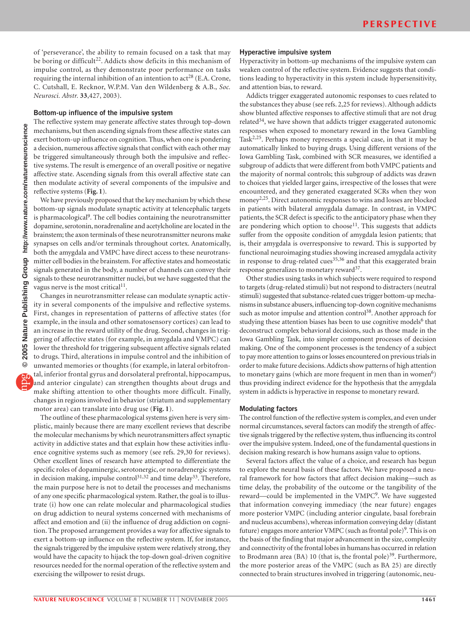of 'perseverance', the ability to remain focused on a task that may be boring or difficult<sup>22</sup>. Addicts show deficits in this mechanism of impulse control, as they demonstrate poor performance on tasks requiring the internal inhibition of an intention to act<sup>28</sup> (E.A. Crone, C. Cutshall, E. Recknor, W.P.M. Van den Wildenberg & A.B., *Soc. Neurosci. Abstr.* **33**,427, 2003).

### **Bottom-up influence of the impulsive system**

The reflective system may generate affective states through top-down mechanisms, but then ascending signals from these affective states can exert bottom-up influence on cognition. Thus, when one is pondering a decision, numerous affective signals that conflict with each other may be triggered simultaneously through both the impulsive and reflective systems. The result is emergence of an overall positive or negative affective state. Ascending signals from this overall affective state can then modulate activity of several components of the impulsive and reflective systems (**Fig. 1**).

We have previously proposed that the key mechanism by which these bottom-up signals modulate synaptic activity at telencephalic targets is pharmacological<sup>9</sup>. The cell bodies containing the neurotransmitter dopamine, serotonin, noradrenaline and acetylcholine are located in the brainstem; the axon terminals of these neurotransmitter neurons make synapses on cells and/or terminals throughout cortex. Anatomically, both the amygdala and VMPC have direct access to these neurotransmitter cell bodies in the brainstem. For affective states and homeostatic signals generated in the body, a number of channels can convey their signals to these neurotransmitter nuclei, but we have suggested that the vagus nerve is the most critical<sup>11</sup>.

Changes in neurotransmitter release can modulate synaptic activity in several components of the impulsive and reflective systems. First, changes in representation of patterns of affective states (for example, in the insula and other somatosensory cortices) can lead to an increase in the reward utility of the drug. Second, changes in triggering of affective states (for example, in amygdala and VMPC) can lower the threshold for triggering subsequent affective signals related to drugs. Third, alterations in impulse control and the inhibition of unwanted memories or thoughts (for example, in lateral orbitofrontal, inferior frontal gyrus and dorsolateral prefrontal, hippocampus, and anterior cingulate) can strengthen thoughts about drugs and make shifting attention to other thoughts more difficult. Finally, changes in regions involved in behavior (striatum and supplementary motor area) can translate into drug use (**Fig. 1**).

The outline of these pharmacological systems given here is very simplistic, mainly because there are many excellent reviews that describe the molecular mechanisms by which neurotransmitters affect synaptic activity in addictive states and that explain how these activities influence cognitive systems such as memory (see refs. 29,30 for reviews). Other excellent lines of research have attempted to differentiate the specific roles of dopaminergic, serotonergic, or noradrenergic systems in decision making, impulse control<sup>31,32</sup> and time delay<sup>33</sup>. Therefore, the main purpose here is not to detail the processes and mechanisms of any one specific pharmacological system. Rather, the goal is to illustrate (i) how one can relate molecular and pharmacological studies on drug addiction to neural systems concerned with mechanisms of affect and emotion and (ii) the influence of drug addiction on cognition. The proposed arrangement provides a way for affective signals to exert a bottom-up influence on the reflective system. If, for instance, the signals triggered by the impulsive system were relatively strong, they would have the capacity to hijack the top-down goal-driven cognitive resources needed for the normal operation of the reflective system and exercising the willpower to resist drugs.

## **Hyperactive impulsive system**

Hyperactivity in bottom-up mechanisms of the impulsive system can weaken control of the reflective system. Evidence suggests that conditions leading to hyperactivity in this system include hypersensitivity, and attention bias, to reward.

Addicts trigger exaggerated autonomic responses to cues related to the substances they abuse (see refs. 2,25 for reviews). Although addicts show blunted affective responses to affective stimuli that are not drug related<sup>34</sup>, we have shown that addicts trigger exaggerated autonomic responses when exposed to monetary reward in the Iowa Gambling Task2,25. Perhaps money represents a special case, in that it may be automatically linked to buying drugs. Using different versions of the Iowa Gambling Task, combined with SCR measures, we identified a subgroup of addicts that were different from both VMPC patients and the majority of normal controls; this subgroup of addicts was drawn to choices that yielded larger gains, irrespective of the losses that were encountered, and they generated exaggerated SCRs when they won money<sup>2,25</sup>. Direct autonomic responses to wins and losses are blocked in patients with bilateral amygdala damage. In contrast, in VMPC patients, the SCR defect is specific to the anticipatory phase when they are pondering which option to choose<sup>11</sup>. This suggests that addicts suffer from the opposite condition of amygdala lesion patients; that is, their amygdala is overresponsive to reward. This is supported by functional neuroimaging studies showing increased amygdala activity in response to drug-related cues<sup>35,36</sup> and that this exaggerated brain response generalizes to monetary reward<sup>37</sup>.

Other studies using tasks in which subjects were required to respond to targets (drug-related stimuli) but not respond to distracters (neutral stimuli) suggested that substance-related cues trigger bottom-up mechanisms in substance abusers, influencing top-down cognitive mechanisms such as motor impulse and attention control<sup>38</sup>. Another approach for studying these attention biases has been to use cognitive models<sup>6</sup> that deconstruct complex behavioral decisions, such as those made in the Iowa Gambling Task, into simpler component processes of decision making. One of the component processes is the tendency of a subject to pay more attention to gains or losses encountered on previous trials in order to make future decisions. Addicts show patterns of high attention to monetary gains (which are more frequent in men than in women<sup>6</sup>) thus providing indirect evidence for the hypothesis that the amygdala system in addicts is hyperactive in response to monetary reward.

#### **Modulating factors**

The control function of the reflective system is complex, and even under normal circumstances, several factors can modify the strength of affective signals triggered by the reflective system, thus influencing its control over the impulsive system. Indeed, one of the fundamental questions in decision making research is how humans assign value to options.

Several factors affect the value of a choice, and research has begun to explore the neural basis of these factors. We have proposed a neural framework for how factors that affect decision making—such as time delay, the probability of the outcome or the tangibility of the reward—could be implemented in the VMPC<sup>9</sup>. We have suggested that information conveying immediacy (the near future) engages more posterior VMPC (including anterior cingulate, basal forebrain and nucleus accumbens), whereas information conveying delay (distant future) engages more anterior VMPC (such as frontal pole)<sup>9</sup>. This is on the basis of the finding that major advancement in the size, complexity and connectivity of the frontal lobes in humans has occurred in relation to Brodmann area (BA) 10 (that is, the frontal pole)<sup>39</sup>. Furthermore, the more posterior areas of the VMPC (such as BA 25) are directly connected to brain structures involved in triggering (autonomic, neu-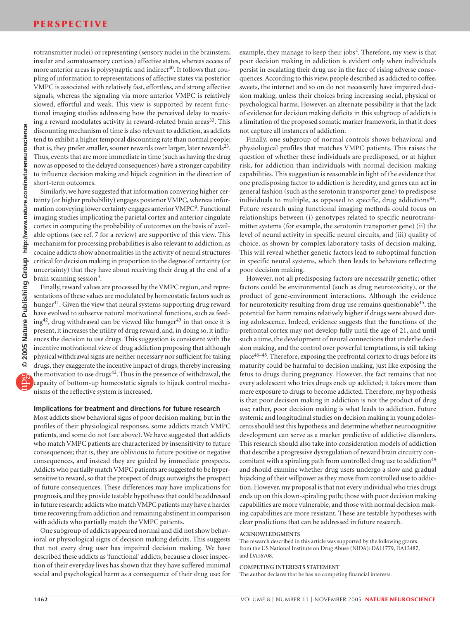rotransmitter nuclei) or representing (sensory nuclei in the brainstem, insular and somatosensory cortices) affective states, whereas access of more anterior areas is polysynaptic and indirect<sup>40</sup>. It follows that coupling of information to representations of affective states via posterior VMPC is associated with relatively fast, effortless, and strong affective signals, whereas the signaling via more anterior VMPC is relatively slowed, effortful and weak. This view is supported by recent functional imaging studies addressing how the perceived delay to receiving a reward modulates activity in reward-related brain areas<sup>33</sup>. This discounting mechanism of time is also relevant to addiction, as addicts tend to exhibit a higher temporal discounting rate than normal people; that is, they prefer smaller, sooner rewards over larger, later rewards $^{23}$ . Thus, events that are more immediate in time (such as having the drug now as opposed to the delayed consequences) have a stronger capability to influence decision making and hijack cognition in the direction of short-term outcomes.

Similarly, we have suggested that information conveying higher certainty (or higher probability) engages posterior VMPC, whereas information conveying lower certainty engages anterior VMPC<sup>9</sup>. Functional imaging studies implicating the parietal cortex and anterior cingulate cortex in computing the probability of outcomes on the basis of available options (see ref. 7 for a review) are supportive of this view. This mechanism for processing probabilities is also relevant to addiction, as cocaine addicts show abnormalities in the activity of neural structures critical for decision making in proportion to the degree of certainty (or uncertainty) that they have about receiving their drug at the end of a brain scanning session<sup>3</sup>.

Finally, reward values are processed by the VMPC region, and representations of these values are modulated by homeostatic factors such as hunger<sup>41</sup>. Given the view that neural systems supporting drug reward have evolved to subserve natural motivational functions, such as feed $ing<sup>42</sup>$ , drug withdrawal can be viewed like hunger<sup>43</sup> in that once it is present, it increases the utility of drug reward, and, in doing so, it influences the decision to use drugs. This suggestion is consistent with the incentive motivational view of drug addiction proposing that although physical withdrawal signs are neither necessary nor sufficient for taking drugs, they exaggerate the incentive impact of drugs, thereby increasing the motivation to use drugs<sup>42</sup>. Thus in the presence of withdrawal, the capacity of bottom-up homeostatic signals to hijack control mechanisms of the reflective system is increased.

### **Implications for treatment and directions for future research**

Most addicts show behavioral signs of poor decision making, but in the profiles of their physiological responses, some addicts match VMPC patients, and some do not (see above). We have suggested that addicts who match VMPC patients are characterized by insensitivity to future consequences; that is, they are oblivious to future positive or negative consequences, and instead they are guided by immediate prospects. Addicts who partially match VMPC patients are suggested to be hypersensitive to reward, so that the prospect of drugs outweighs the prospect of future consequences. These differences may have implications for prognosis, and they provide testable hypotheses that could be addressed in future research: addicts who match VMPC patients may have a harder time recovering from addiction and remaining abstinent in comparison with addicts who partially match the VMPC patients.

One subgroup of addicts appeared normal and did not show behavioral or physiological signs of decision making deficits. This suggests that not every drug user has impaired decision making. We have described these addicts as 'functional' addicts, because a closer inspection of their everyday lives has shown that they have suffered minimal social and psychological harm as a consequence of their drug use: for

example, they manage to keep their jobs<sup>2</sup>. Therefore, my view is that poor decision making in addiction is evident only when individuals persist in escalating their drug use in the face of rising adverse consequences. According to this view, people described as addicted to coffee, sweets, the internet and so on do not necessarily have impaired decision making, unless their choices bring increasing social, physical or psychological harms. However, an alternate possibility is that the lack of evidence for decision making deficits in this subgroup of addicts is a limitation of the proposed somatic marker framework, in that it does not capture all instances of addiction.

Finally, one subgroup of normal controls shows behavioral and physiological profiles that matches VMPC patients. This raises the question of whether these individuals are predisposed, or at higher risk, for addiction than individuals with normal decision making capabilities. This suggestion is reasonable in light of the evidence that one predisposing factor to addiction is heredity, and genes can act in general fashion (such as the serotonin transporter gene) to predispose individuals to multiple, as opposed to specific, drug addictions<sup>44</sup>. Future research using functional imaging methods could focus on relationships between (i) genotypes related to specific neurotransmitter systems (for example, the serotonin transporter gene) (ii) the level of neural activity in specific neural circuits, and (iii) quality of choice, as shown by complex laboratory tasks of decision making. This will reveal whether genetic factors lead to suboptimal function in specific neural systems, which then leads to behaviors reflecting poor decision making.

However, not all predisposing factors are necessarily genetic; other factors could be environmental (such as drug neurotoxicity), or the product of gene-environment interactions. Although the evidence for neurotoxicity resulting from drug use remains questionable<sup>45</sup>, the potential for harm remains relatively higher if drugs were abused during adolescence. Indeed, evidence suggests that the functions of the prefrontal cortex may not develop fully until the age of 21, and until such a time, the development of neural connections that underlie decision making, and the control over powerful temptations, is still taking place46–48. Therefore, exposing the prefrontal cortex to drugs before its maturity could be harmful to decision making, just like exposing the fetus to drugs during pregnancy. However, the fact remains that not every adolescent who tries drugs ends up addicted; it takes more than mere exposure to drugs to become addicted. Therefore, my hypothesis is that poor decision making in addiction is not the product of drug use; rather, poor decision making is what leads to addiction. Future systemic and longitudinal studies on decision making in young adolescents should test this hypothesis and determine whether neurocognitive development can serve as a marker predictive of addictive disorders. This research should also take into consideration models of addiction that describe a progressive dysregulation of reward brain circuitry concomitant with a spiraling path from controlled drug use to addiction<sup>49</sup> and should examine whether drug users undergo a slow and gradual hijacking of their willpower as they move from controlled use to addiction. However, my proposal is that not every individual who tries drugs ends up on this down-spiraling path; those with poor decision making capabilities are more vulnerable, and those with normal decision making capabilities are more resistant. These are testable hypotheses with clear predictions that can be addressed in future research.

#### **ACKNOWLEDGMENTS**

The research described in this article was supported by the following grants from the US National Institute on Drug Abuse (NIDA): DA11779, DA12487, and DA16708.

#### **COMPETING INTERESTS STATEMENT**

The author declares that he has no competing financial interests.